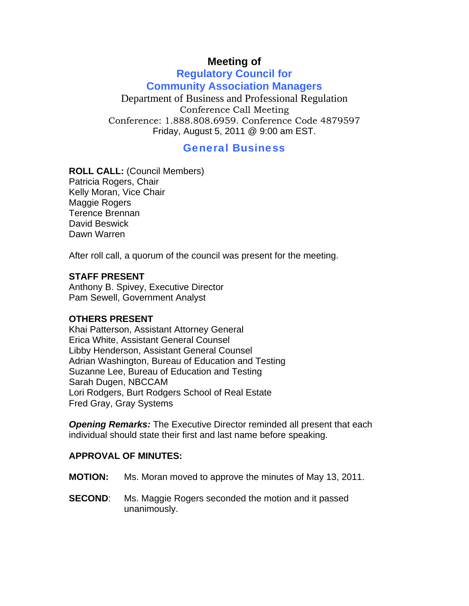# **Meeting of**

# **Regulatory Council for Community Association Managers**

Department of Business and Professional Regulation Conference Call Meeting Conference: 1.888.808.6959. Conference Code 4879597 Friday, August 5, 2011 @ 9:00 am EST.

# General Business

**ROLL CALL:** (Council Members)

Patricia Rogers, Chair Kelly Moran, Vice Chair Maggie Rogers Terence Brennan David Beswick Dawn Warren

After roll call, a quorum of the council was present for the meeting.

#### **STAFF PRESENT**

Anthony B. Spivey, Executive Director Pam Sewell, Government Analyst

#### **OTHERS PRESENT**

Khai Patterson, Assistant Attorney General Erica White, Assistant General Counsel Libby Henderson, Assistant General Counsel Adrian Washington, Bureau of Education and Testing Suzanne Lee, Bureau of Education and Testing Sarah Dugen, NBCCAM Lori Rodgers, Burt Rodgers School of Real Estate Fred Gray, Gray Systems

*Opening Remarks:* The Executive Director reminded all present that each individual should state their first and last name before speaking.

#### **APPROVAL OF MINUTES:**

- **MOTION:** Ms. Moran moved to approve the minutes of May 13, 2011.
- **SECOND:** Ms. Maggie Rogers seconded the motion and it passed unanimously.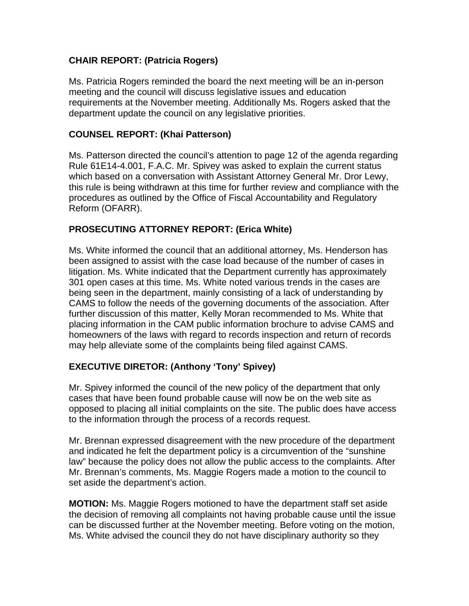# **CHAIR REPORT: (Patricia Rogers)**

Ms. Patricia Rogers reminded the board the next meeting will be an in-person meeting and the council will discuss legislative issues and education requirements at the November meeting. Additionally Ms. Rogers asked that the department update the council on any legislative priorities.

# **COUNSEL REPORT: (Khai Patterson)**

Ms. Patterson directed the council's attention to page 12 of the agenda regarding Rule 61E14-4.001, F.A.C. Mr. Spivey was asked to explain the current status which based on a conversation with Assistant Attorney General Mr. Dror Lewy, this rule is being withdrawn at this time for further review and compliance with the procedures as outlined by the Office of Fiscal Accountability and Regulatory Reform (OFARR).

# **PROSECUTING ATTORNEY REPORT: (Erica White)**

Ms. White informed the council that an additional attorney, Ms. Henderson has been assigned to assist with the case load because of the number of cases in litigation. Ms. White indicated that the Department currently has approximately 301 open cases at this time. Ms. White noted various trends in the cases are being seen in the department, mainly consisting of a lack of understanding by CAMS to follow the needs of the governing documents of the association. After further discussion of this matter, Kelly Moran recommended to Ms. White that placing information in the CAM public information brochure to advise CAMS and homeowners of the laws with regard to records inspection and return of records may help alleviate some of the complaints being filed against CAMS.

# **EXECUTIVE DIRETOR: (Anthony 'Tony' Spivey)**

Mr. Spivey informed the council of the new policy of the department that only cases that have been found probable cause will now be on the web site as opposed to placing all initial complaints on the site. The public does have access to the information through the process of a records request.

Mr. Brennan expressed disagreement with the new procedure of the department and indicated he felt the department policy is a circumvention of the "sunshine law" because the policy does not allow the public access to the complaints. After Mr. Brennan's comments, Ms. Maggie Rogers made a motion to the council to set aside the department's action.

**MOTION:** Ms. Maggie Rogers motioned to have the department staff set aside the decision of removing all complaints not having probable cause until the issue can be discussed further at the November meeting. Before voting on the motion, Ms. White advised the council they do not have disciplinary authority so they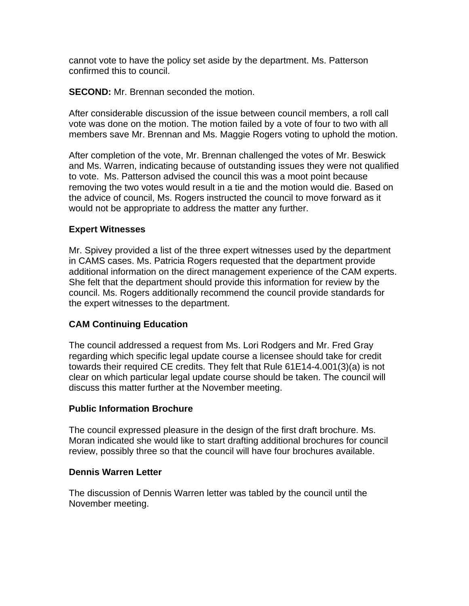cannot vote to have the policy set aside by the department. Ms. Patterson confirmed this to council.

**SECOND:** Mr. Brennan seconded the motion.

After considerable discussion of the issue between council members, a roll call vote was done on the motion. The motion failed by a vote of four to two with all members save Mr. Brennan and Ms. Maggie Rogers voting to uphold the motion.

After completion of the vote, Mr. Brennan challenged the votes of Mr. Beswick and Ms. Warren, indicating because of outstanding issues they were not qualified to vote. Ms. Patterson advised the council this was a moot point because removing the two votes would result in a tie and the motion would die. Based on the advice of council, Ms. Rogers instructed the council to move forward as it would not be appropriate to address the matter any further.

# **Expert Witnesses**

Mr. Spivey provided a list of the three expert witnesses used by the department in CAMS cases. Ms. Patricia Rogers requested that the department provide additional information on the direct management experience of the CAM experts. She felt that the department should provide this information for review by the council. Ms. Rogers additionally recommend the council provide standards for the expert witnesses to the department.

# **CAM Continuing Education**

The council addressed a request from Ms. Lori Rodgers and Mr. Fred Gray regarding which specific legal update course a licensee should take for credit towards their required CE credits. They felt that Rule 61E14-4.001(3)(a) is not clear on which particular legal update course should be taken. The council will discuss this matter further at the November meeting.

## **Public Information Brochure**

The council expressed pleasure in the design of the first draft brochure. Ms. Moran indicated she would like to start drafting additional brochures for council review, possibly three so that the council will have four brochures available.

## **Dennis Warren Letter**

The discussion of Dennis Warren letter was tabled by the council until the November meeting.